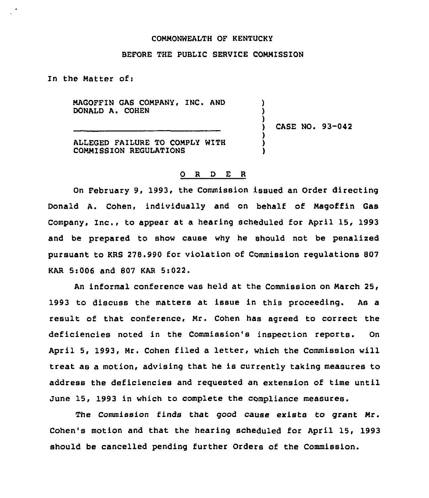## COMMONWEALTH OF KENTUCKY

## BEFORE THE PUBLIC SERVICE COMMISSION

In the Matter ofi

MAGOFFIN GAS COMPANY, INC. AND DONALD A. COHEN

) CASE NO. 93-042

) ) )

> ) ) )

ALLEGED FAILURE TO COMPLY WITH COMMISSION REGULATIONS

## 0 <sup>R</sup> <sup>D</sup> E R

On February 9, 1993, the Commission issued an Order directing Donald A. Cohen, individually and on behalf of Magoffin Gas Company, Inc., to appear at a hearing scheduled for April 15, 1993 and be prepared to show cause why he should not be penalixed pursuant to KRS 278.990 for violation of Commission regulations 807 KAR 5:006 and 807 KAR 5:022.

An informal conference was held at the Commission on March 25, 1993 to discuss the matters at issue in this proceeding. As a result of that conference, Mr. Cohen has agreed to correct the deficiencies noted in the Commission's inspection reports. On April 5, 1993, Mr. Cohen filed a letter, which the Commission will treat as a motion, advising that he is currently taking measures to address the deficiencies and requested an extension of time until June 15, 1993 in which to complete the ccmpliance measures.

The Commission finds that good cause exists to grant Mr. Cohen's motion and that the hearing scheduled for April 15, 1993 should be cancelled pending further Orders of the Commission.